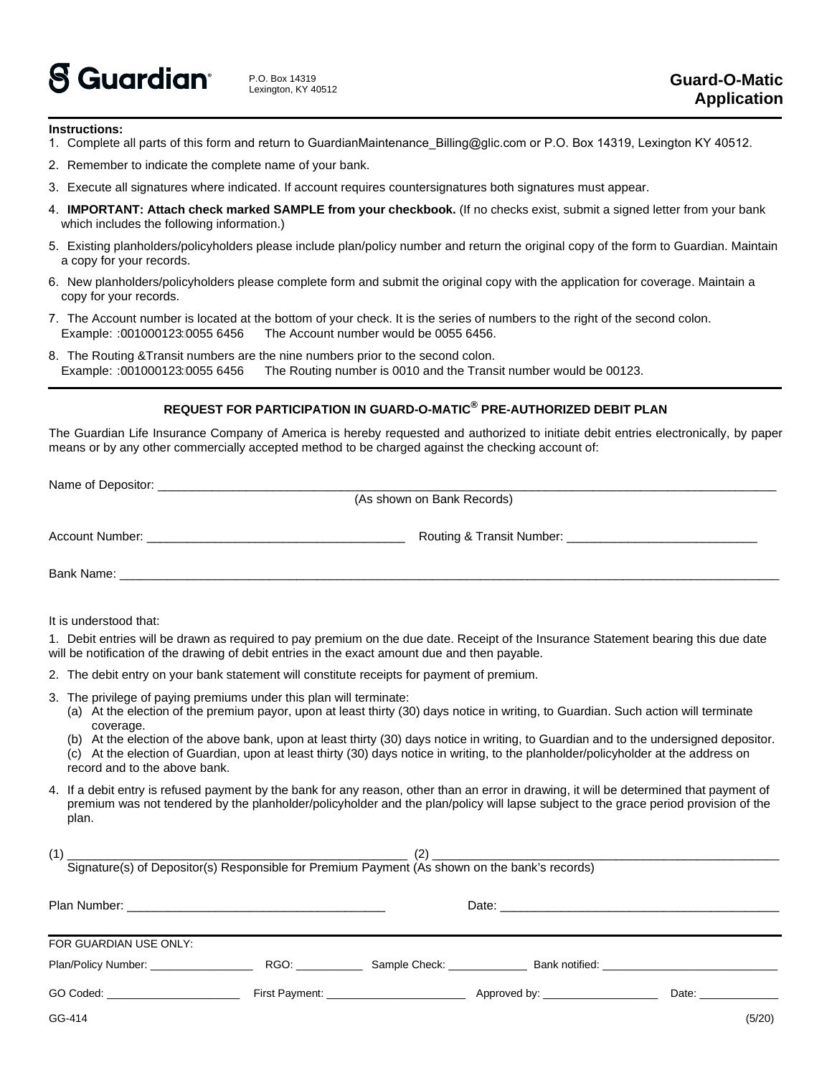

## **Instructions:**

- 1. Complete all parts of this form and return to GuardianMaintenance\_Billing@glic.com or P.O. Box 14319, Lexington KY 40512.
- 2. Remember to indicate the complete name of your bank.
- 3. Execute all signatures where indicated. If account requires countersignatures both signatures must appear.
- 4. **IMPORTANT: Attach check marked SAMPLE from your checkbook.** (If no checks exist, submit a signed letter from your bank which includes the following information.)
- 5. Existing planholders/policyholders please include plan/policy number and return the original copy of the form to Guardian. Maintain a copy for your records.
- 6. New planholders/policyholders please complete form and submit the original copy with the application for coverage. Maintain a copy for your records.
- 7. The Account number is located at the bottom of your check. It is the series of numbers to the right of the second colon. Example: : 001000123: 0055 6456 The Account number would be 0055 6456.
- 8. The Routing &Transit numbers are the nine numbers prior to the second colon. Example: :001000123:0055 6456 The Routing number is 0010 and the Transit number would be 00123.

## **REQUEST FOR PARTICIPATION IN GUARD-O-MATIC® PRE-AUTHORIZED DEBIT PLAN**

The Guardian Life Insurance Company of America is hereby requested and authorized to initiate debit entries electronically, by paper means or by any other commercially accepted method to be charged against the checking account of:

|                              | (As shown on Bank Records)                         |
|------------------------------|----------------------------------------------------|
|                              |                                                    |
| Account Number: Account 2014 | Routing & Transit Number: 2008 2010 2021 2022 2023 |
|                              |                                                    |
|                              |                                                    |
|                              |                                                    |

It is understood that:

1. Debit entries will be drawn as required to pay premium on the due date. Receipt of the Insurance Statement bearing this due date will be notification of the drawing of debit entries in the exact amount due and then payable.

- 2. The debit entry on your bank statement will constitute receipts for payment of premium.
- 3. The privilege of paying premiums under this plan will terminate:
	- (a) At the election of the premium payor, upon at least thirty (30) days notice in writing, to Guardian. Such action will terminate coverage.
	- (b) At the election of the above bank, upon at least thirty (30) days notice in writing, to Guardian and to the undersigned depositor.
	- (c) At the election of Guardian, upon at least thirty (30) days notice in writing, to the planholder/policyholder at the address on record and to the above bank.
- 4. If a debit entry is refused payment by the bank for any reason, other than an error in drawing, it will be determined that payment of premium was not tendered by the planholder/policyholder and the plan/policy will lapse subject to the grace period provision of the plan.

| (1)                                                                                                                                                                                                                           | (2)                                                      |                                                                                                                |                                                                                                                                                                                                                                |        |
|-------------------------------------------------------------------------------------------------------------------------------------------------------------------------------------------------------------------------------|----------------------------------------------------------|----------------------------------------------------------------------------------------------------------------|--------------------------------------------------------------------------------------------------------------------------------------------------------------------------------------------------------------------------------|--------|
| Signature(s) of Depositor(s) Responsible for Premium Payment (As shown on the bank's records)                                                                                                                                 |                                                          |                                                                                                                |                                                                                                                                                                                                                                |        |
|                                                                                                                                                                                                                               |                                                          |                                                                                                                |                                                                                                                                                                                                                                |        |
|                                                                                                                                                                                                                               |                                                          |                                                                                                                |                                                                                                                                                                                                                                |        |
|                                                                                                                                                                                                                               |                                                          |                                                                                                                |                                                                                                                                                                                                                                |        |
| FOR GUARDIAN USE ONLY:                                                                                                                                                                                                        |                                                          |                                                                                                                |                                                                                                                                                                                                                                |        |
| Plan/Policy Number: ___________________                                                                                                                                                                                       |                                                          | Sample Check: Bank notified: Check and Check and Check and Check and Check and Check and Check and Check and C |                                                                                                                                                                                                                                |        |
|                                                                                                                                                                                                                               |                                                          |                                                                                                                |                                                                                                                                                                                                                                |        |
| GO Coded: the contract of the contract of the contract of the contract of the contract of the contract of the contract of the contract of the contract of the contract of the contract of the contract of the contract of the | First Payment: <u>__________________________________</u> |                                                                                                                | Date: the contract of the contract of the contract of the contract of the contract of the contract of the contract of the contract of the contract of the contract of the contract of the contract of the contract of the cont |        |
| GG-414                                                                                                                                                                                                                        |                                                          |                                                                                                                |                                                                                                                                                                                                                                | (5/20) |